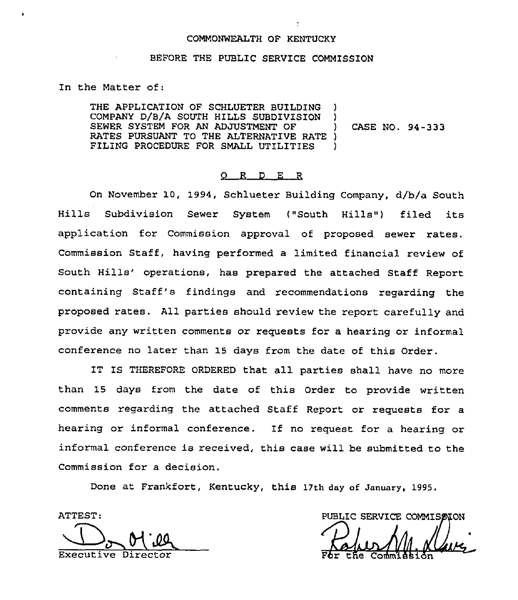#### COMMONWEALTH OF KENTUCKY

### BEFORE THE PUBLIC SERVICE COMMISSION

In the Matter of:

THE APPLICATION OF SCHLUETER BUILDING COMPANY D/B/A SOUTH HILLS SUBDIVISION )<br>SEWER SYSTEM FOR AN ADJUSTMENT OF ) SEWER SYSTEM FOR AN ADJUSTMENT OF RATES PURSUANT TO THE ALTERNATIVE RATE ) FILING PROCEDURE FOR SMALL UTILITIES  $\rightarrow$ 

CASE NO. 94-333

### 0 <sup>R</sup> <sup>D</sup> E <sup>R</sup>

On November 10, 1994, Schlueter Building Company, d/b/a South Hills Subdivision Sewer System ("South Hills") filed its application for Commission approval of proposed sewer rates. Commission Staff, having performed a limited financial review of South Hills' operations, has prepared the attached Staff Report containing Staff's findings and recommendations regarding the proposed rates. All parties should review the report carefully and provide any written comments or requests for a hearing or informal conference no later than 15 days from the date of this Order.

IT IS THEREFORE ORDERED that all parties shall have no more than 15 days from the date of this Order to provide written comments regarding the attached Staff Report or requests for a hearing or informal conference. If no request for a hearing or informal conference is received, this case will be submitted to the Commission for a decision.

Done at Frankfort, Kentucky, this 17th day af January, 1995.

ATTEST: Executive Director Far the Coramic Coramic Coramic Coramic Coramic Coramic Coramic Coramic Coramic Coramic Cor

PUBLIC SERVICE COMMISSION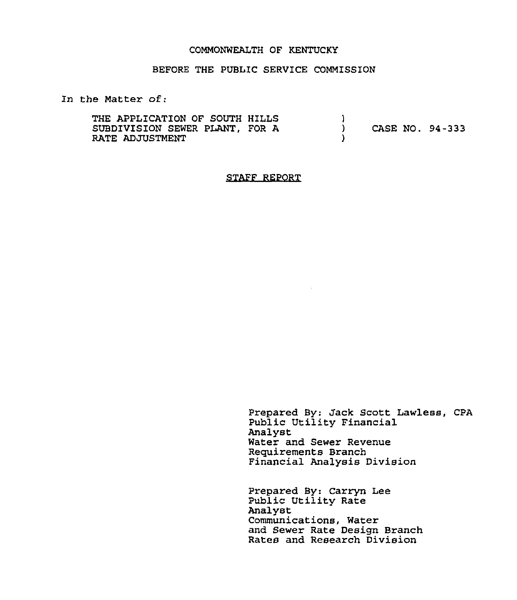### COMMONWEALTH OF KENTUCKY

## BEFORE THE PUBLIC SERVICE COMMISSION

In the Matter of:

THE APPLICATION OF SOUTH HILLS SUBDIVISION SEWER PLANT, FOR A RATE ADJUSTMENT  $\left\{ \right\}$ ) CASE NO. 94-333 )

STAFF REPORT

Prepared By: Jack Scott Lawless, CPA Public Utility Financial Analyst Water and Sewer Revenue Requirements Branch Financial Analysis Division

Prepared By: Carryn Lee Public Utility Rate Analyst Communications, Water and Sewer Rate Design Branch Rates and Research Division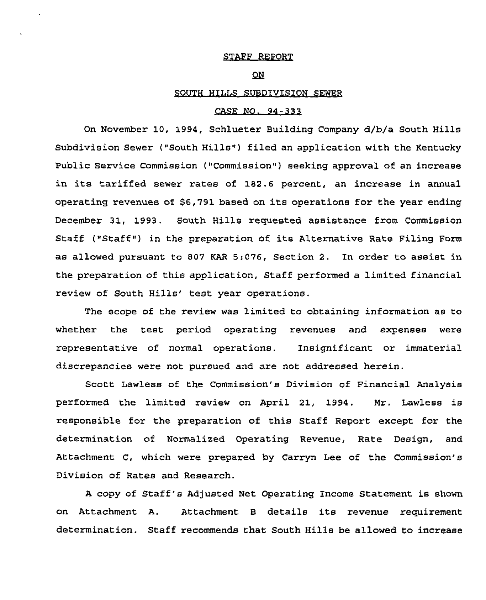### STAFF REPORT

# QN

## SOUTH HILLS SUBDIVISION SEWER

## CASE NO. 94-333

On November 10, 1994, Schlueter Building Company d/b/a South Hills Subdivision Sewer ("South Hills") filed an application with the Kentucky Public Service Commission ("Commission" ) seeking approval of an increase in its tariffed sewer rates of 182.6 percent, an increase in annual operating revenues of 96,791 based on its operations for the year ending December 31, 1993. South Hills requested assistance from Commission Staff ("Staff") in the preparation of its Alternative Rate Filing Form as allowed pursuant to 807 KAR 5:076, Section 2. In order to assist in the preparation of this application, Staff performed a limited financial review of South Hills' test year operations.

The scope of the review was limited to obtaining information as to whether the test period operating revenues and expenses were representative of normal operations. Insignificant or immaterial discrepancies were not pursued and are not addressed herein.

Scott Lawless of the Commission's Division of Financial Analysis performed the limited review on April 21, 1994. Nr. Lawless is responsible for the preparation of this Staff Report except for the determination of Normalized Operating Revenue, Rate Design, and Attachment C, which were prepared by Carryn Lee of the Commission's Division of Rates and Research.

<sup>A</sup> copy of Staff's Adjusted Net Operating Income Statement is shown on Attachment A. Attachment <sup>B</sup> details its revenue requirement determination. Staff recommends that South Hills be allowed to increase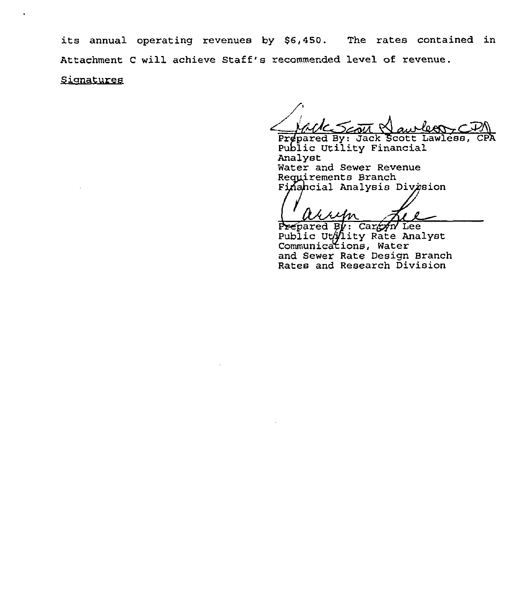its annual operating revenues by \$6,450. The rates contained in Attachment <sup>C</sup> will achieve Staff's recommended level of revenue. Signatures

MCS and Nawless CPA

Public Utility Financial<br>Analyst Water and Sewer Revenue<br>Requirements Branch Finahcial Analysis Division

 $x$ kum

prepared By: Careyn Lee Public cation Rate Analys Communications, Water and Sewer Rate Design Branch Rates and Research Division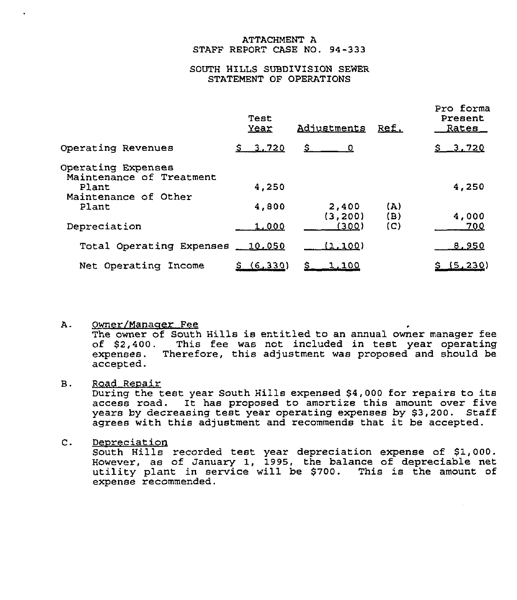## ATTACHMENT A STAFF REPORT CASE NO. 94-333

## SOUTH HILLS SUBDIVISION SEWER STATEMENT OF OPERATIONS

|                                                | Test<br>Year | Adjustments      | <u>Ref.</u> | Pro forma<br>Present<br>Rates |
|------------------------------------------------|--------------|------------------|-------------|-------------------------------|
| Operating Revenues                             | \$3,720      | S.<br>$\Omega$   |             | <u>\$3.720</u>                |
| Operating Expenses<br>Maintenance of Treatment |              |                  |             |                               |
| Plant<br>Maintenance of Other                  | 4,250        |                  |             | 4,250                         |
| Plant                                          | 4,800        | 2,400<br>(3,200) | (A)<br>(B)  | 4,000                         |
| Depreciation                                   | 1,000        | (300)            | (C)         | 700                           |
| Total Operating Expenses                       | 10.050       | <u>(1,100)</u>   |             | <u>8.950</u>                  |
| Net Operating Income                           | (6, 330)     | <u>1 100</u>     |             | (5, 230)                      |

#### Α. gwner/Manaaer Fee

The owner of South Hills is entitled to an annual owner manager fee of \$2,400. This fee was not included in test year operating expenses. Therefore, this adjustment was proposed and should be accepted.

#### **B.** Road Reoair

During the test year South Hills expensed \$4,000 for repairs to its access road. It has proposed to amortize this amount over five years by decreasing test year operating expenses by \$3,200. Staff agrees with this adjustment and recommends that it be accepted.

#### $\mathsf{C}$ . Depreciation

South Hills recorded test year depreciation expense of \$1,000. However, as of January 1, 1995, the balance of depreciable net utility plant in service will be \$700. This is the amount of expense recommended.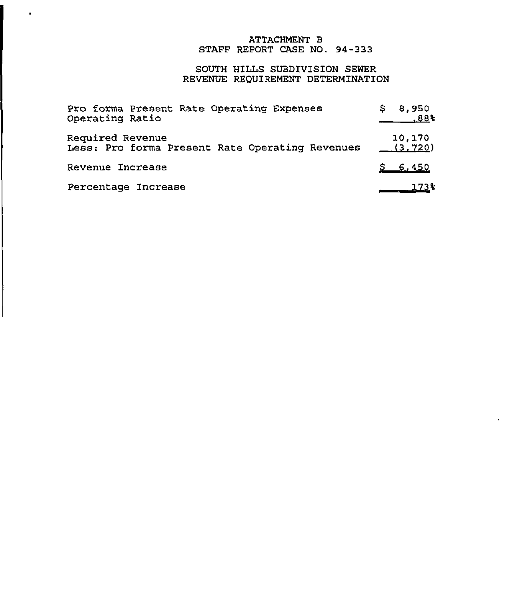# ATTACHMENT B STAFF REPORT CASE NO. 94-333

# SOUTH HILLS SUBDIVISION SEWER REVENUE REQUIREMENT DETERMINATION

| Pro forma Present Rate Operating Expenses       | \$8,950  |
|-------------------------------------------------|----------|
| Operating Ratio                                 | .88%     |
| Required Revenue                                | 10,170   |
| Less: Pro forma Present Rate Operating Revenues | (3, 720) |
| Revenue Increase                                | \$6,450  |
| Percentage Increase                             | $173*$   |

 $\hat{\textbf{z}}$